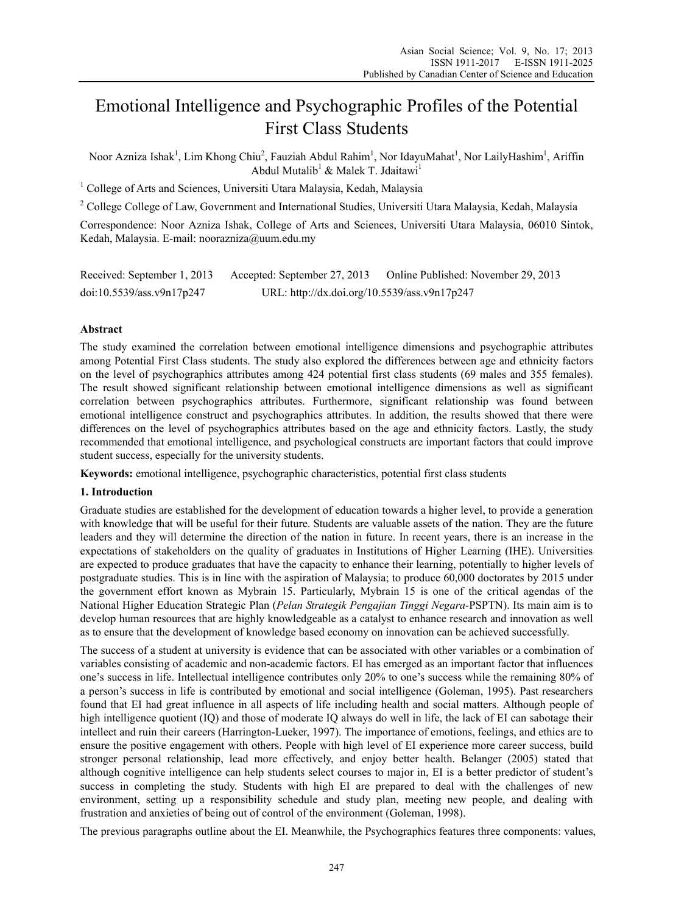# Emotional Intelligence and Psychographic Profiles of the Potential First Class Students

Noor Azniza Ishak<sup>1</sup>, Lim Khong Chiu<sup>2</sup>, Fauziah Abdul Rahim<sup>1</sup>, Nor IdayuMahat<sup>1</sup>, Nor LailyHashim<sup>1</sup>, Ariffin Abdul Mutalib<sup>1</sup> & Malek T. Jdaitawi<sup>1</sup>

<sup>1</sup> College of Arts and Sciences, Universiti Utara Malaysia, Kedah, Malaysia

<sup>2</sup> College College of Law, Government and International Studies, Universiti Utara Malaysia, Kedah, Malaysia

Correspondence: Noor Azniza Ishak, College of Arts and Sciences, Universiti Utara Malaysia, 06010 Sintok, Kedah, Malaysia. E-mail: noorazniza@uum.edu.my

| Received: September 1, 2013 | Accepted: September 27, 2013                 | Online Published: November 29, 2013 |
|-----------------------------|----------------------------------------------|-------------------------------------|
| doi:10.5539/ass.v9n17p247   | URL: http://dx.doi.org/10.5539/ass.v9n17p247 |                                     |

# **Abstract**

The study examined the correlation between emotional intelligence dimensions and psychographic attributes among Potential First Class students. The study also explored the differences between age and ethnicity factors on the level of psychographics attributes among 424 potential first class students (69 males and 355 females). The result showed significant relationship between emotional intelligence dimensions as well as significant correlation between psychographics attributes. Furthermore, significant relationship was found between emotional intelligence construct and psychographics attributes. In addition, the results showed that there were differences on the level of psychographics attributes based on the age and ethnicity factors. Lastly, the study recommended that emotional intelligence, and psychological constructs are important factors that could improve student success, especially for the university students.

**Keywords:** emotional intelligence, psychographic characteristics, potential first class students

## **1. Introduction**

Graduate studies are established for the development of education towards a higher level, to provide a generation with knowledge that will be useful for their future. Students are valuable assets of the nation. They are the future leaders and they will determine the direction of the nation in future. In recent years, there is an increase in the expectations of stakeholders on the quality of graduates in Institutions of Higher Learning (IHE). Universities are expected to produce graduates that have the capacity to enhance their learning, potentially to higher levels of postgraduate studies. This is in line with the aspiration of Malaysia; to produce 60,000 doctorates by 2015 under the government effort known as Mybrain 15. Particularly, Mybrain 15 is one of the critical agendas of the National Higher Education Strategic Plan (*Pelan Strategik Pengajian Tinggi Negara-*PSPTN). Its main aim is to develop human resources that are highly knowledgeable as a catalyst to enhance research and innovation as well as to ensure that the development of knowledge based economy on innovation can be achieved successfully.

The success of a student at university is evidence that can be associated with other variables or a combination of variables consisting of academic and non-academic factors. EI has emerged as an important factor that influences one's success in life. Intellectual intelligence contributes only 20% to one's success while the remaining 80% of a person's success in life is contributed by emotional and social intelligence (Goleman, 1995). Past researchers found that EI had great influence in all aspects of life including health and social matters. Although people of high intelligence quotient (IQ) and those of moderate IQ always do well in life, the lack of EI can sabotage their intellect and ruin their careers (Harrington-Lueker, 1997). The importance of emotions, feelings, and ethics are to ensure the positive engagement with others. People with high level of EI experience more career success, build stronger personal relationship, lead more effectively, and enjoy better health. Belanger (2005) stated that although cognitive intelligence can help students select courses to major in, EI is a better predictor of student's success in completing the study. Students with high EI are prepared to deal with the challenges of new environment, setting up a responsibility schedule and study plan, meeting new people, and dealing with frustration and anxieties of being out of control of the environment (Goleman, 1998).

The previous paragraphs outline about the EI. Meanwhile, the Psychographics features three components: values,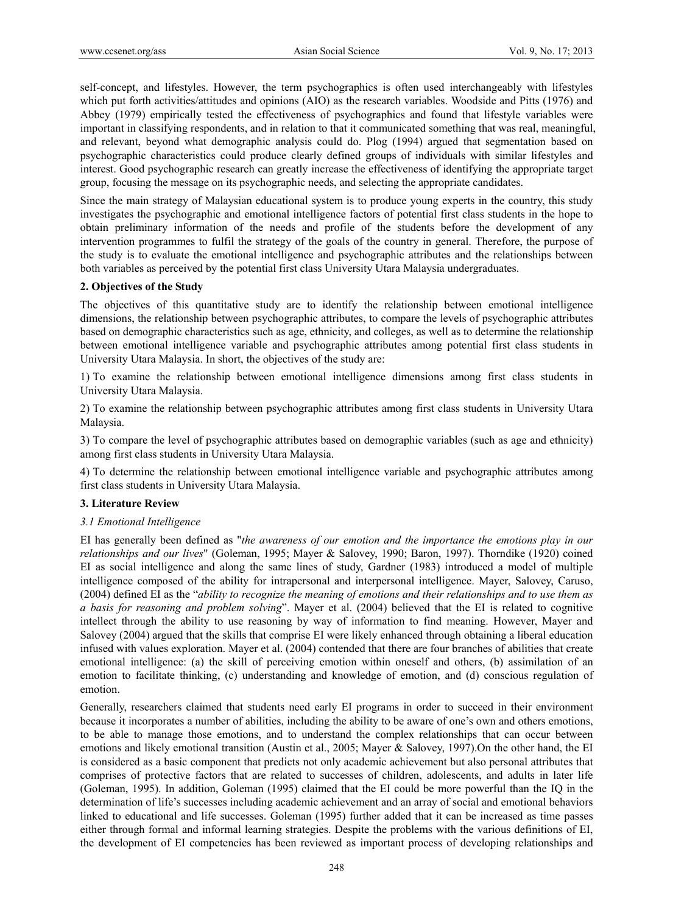self-concept, and lifestyles. However, the term psychographics is often used interchangeably with lifestyles which put forth activities/attitudes and opinions (AIO) as the research variables. Woodside and Pitts (1976) and Abbey (1979) empirically tested the effectiveness of psychographics and found that lifestyle variables were important in classifying respondents, and in relation to that it communicated something that was real, meaningful, and relevant, beyond what demographic analysis could do. Plog (1994) argued that segmentation based on psychographic characteristics could produce clearly defined groups of individuals with similar lifestyles and interest. Good psychographic research can greatly increase the effectiveness of identifying the appropriate target group, focusing the message on its psychographic needs, and selecting the appropriate candidates.

Since the main strategy of Malaysian educational system is to produce young experts in the country, this study investigates the psychographic and emotional intelligence factors of potential first class students in the hope to obtain preliminary information of the needs and profile of the students before the development of any intervention programmes to fulfil the strategy of the goals of the country in general. Therefore, the purpose of the study is to evaluate the emotional intelligence and psychographic attributes and the relationships between both variables as perceived by the potential first class University Utara Malaysia undergraduates.

# **2. Objectives of the Study**

The objectives of this quantitative study are to identify the relationship between emotional intelligence dimensions, the relationship between psychographic attributes, to compare the levels of psychographic attributes based on demographic characteristics such as age, ethnicity, and colleges, as well as to determine the relationship between emotional intelligence variable and psychographic attributes among potential first class students in University Utara Malaysia. In short, the objectives of the study are:

1) To examine the relationship between emotional intelligence dimensions among first class students in University Utara Malaysia.

2) To examine the relationship between psychographic attributes among first class students in University Utara Malaysia.

3) To compare the level of psychographic attributes based on demographic variables (such as age and ethnicity) among first class students in University Utara Malaysia.

4) To determine the relationship between emotional intelligence variable and psychographic attributes among first class students in University Utara Malaysia.

## **3. Literature Review**

## *3.1 Emotional Intelligence*

EI has generally been defined as "*the awareness of our emotion and the importance the emotions play in our relationships and our lives*" (Goleman, 1995; Mayer & Salovey, 1990; Baron, 1997). Thorndike (1920) coined EI as social intelligence and along the same lines of study, Gardner (1983) introduced a model of multiple intelligence composed of the ability for intrapersonal and interpersonal intelligence. Mayer, Salovey, Caruso, (2004) defined EI as the "*ability to recognize the meaning of emotions and their relationships and to use them as a basis for reasoning and problem solving*". Mayer et al. (2004) believed that the EI is related to cognitive intellect through the ability to use reasoning by way of information to find meaning. However, Mayer and Salovey (2004) argued that the skills that comprise EI were likely enhanced through obtaining a liberal education infused with values exploration. Mayer et al. (2004) contended that there are four branches of abilities that create emotional intelligence: (a) the skill of perceiving emotion within oneself and others, (b) assimilation of an emotion to facilitate thinking, (c) understanding and knowledge of emotion, and (d) conscious regulation of emotion.

Generally, researchers claimed that students need early EI programs in order to succeed in their environment because it incorporates a number of abilities, including the ability to be aware of one's own and others emotions, to be able to manage those emotions, and to understand the complex relationships that can occur between emotions and likely emotional transition (Austin et al., 2005; Mayer & Salovey, 1997).On the other hand, the EI is considered as a basic component that predicts not only academic achievement but also personal attributes that comprises of protective factors that are related to successes of children, adolescents, and adults in later life (Goleman, 1995). In addition, Goleman (1995) claimed that the EI could be more powerful than the IQ in the determination of life's successes including academic achievement and an array of social and emotional behaviors linked to educational and life successes. Goleman (1995) further added that it can be increased as time passes either through formal and informal learning strategies. Despite the problems with the various definitions of EI, the development of EI competencies has been reviewed as important process of developing relationships and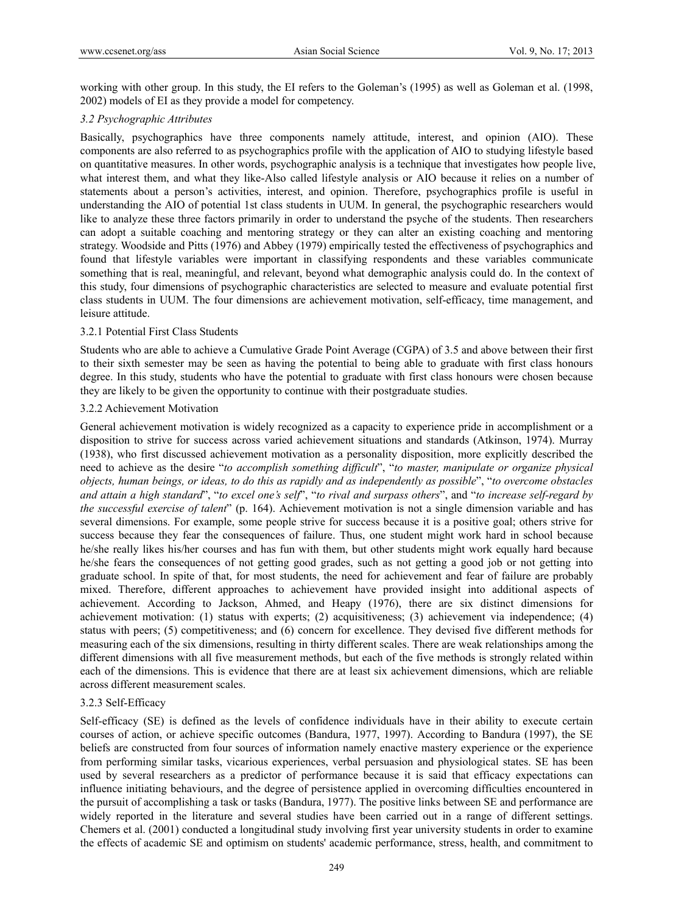working with other group. In this study, the EI refers to the Goleman's (1995) as well as Goleman et al. (1998, 2002) models of EI as they provide a model for competency.

#### *3.2 Psychographic Attributes*

Basically, psychographics have three components namely attitude, interest, and opinion (AIO). These components are also referred to as psychographics profile with the application of AIO to studying lifestyle based on quantitative measures. In other words, psychographic analysis is a technique that investigates how people live, what interest them, and what they like-Also called lifestyle analysis or AIO because it relies on a number of statements about a person's activities, interest, and opinion. Therefore, psychographics profile is useful in understanding the AIO of potential 1st class students in UUM. In general, the psychographic researchers would like to analyze these three factors primarily in order to understand the psyche of the students. Then researchers can adopt a suitable coaching and mentoring strategy or they can alter an existing coaching and mentoring strategy. Woodside and Pitts (1976) and Abbey (1979) empirically tested the effectiveness of psychographics and found that lifestyle variables were important in classifying respondents and these variables communicate something that is real, meaningful, and relevant, beyond what demographic analysis could do. In the context of this study, four dimensions of psychographic characteristics are selected to measure and evaluate potential first class students in UUM. The four dimensions are achievement motivation, self-efficacy, time management, and leisure attitude.

#### 3.2.1 Potential First Class Students

Students who are able to achieve a Cumulative Grade Point Average (CGPA) of 3.5 and above between their first to their sixth semester may be seen as having the potential to being able to graduate with first class honours degree. In this study, students who have the potential to graduate with first class honours were chosen because they are likely to be given the opportunity to continue with their postgraduate studies.

#### 3.2.2 Achievement Motivation

General achievement motivation is widely recognized as a capacity to experience pride in accomplishment or a disposition to strive for success across varied achievement situations and standards (Atkinson, 1974). Murray (1938), who first discussed achievement motivation as a personality disposition, more explicitly described the need to achieve as the desire "*to accomplish something difficult*", "*to master, manipulate or organize physical objects, human beings, or ideas, to do this as rapidly and as independently as possible*", "*to overcome obstacles and attain a high standard*", "*to excel one's self*", "*to rival and surpass others*", and "*to increase self-regard by the successful exercise of talent*" (p. 164). Achievement motivation is not a single dimension variable and has several dimensions. For example, some people strive for success because it is a positive goal; others strive for success because they fear the consequences of failure. Thus, one student might work hard in school because he/she really likes his/her courses and has fun with them, but other students might work equally hard because he/she fears the consequences of not getting good grades, such as not getting a good job or not getting into graduate school. In spite of that, for most students, the need for achievement and fear of failure are probably mixed. Therefore, different approaches to achievement have provided insight into additional aspects of achievement. According to Jackson, Ahmed, and Heapy (1976), there are six distinct dimensions for achievement motivation: (1) status with experts; (2) acquisitiveness; (3) achievement via independence; (4) status with peers; (5) competitiveness; and (6) concern for excellence. They devised five different methods for measuring each of the six dimensions, resulting in thirty different scales. There are weak relationships among the different dimensions with all five measurement methods, but each of the five methods is strongly related within each of the dimensions. This is evidence that there are at least six achievement dimensions, which are reliable across different measurement scales.

#### 3.2.3 Self-Efficacy

Self-efficacy (SE) is defined as the levels of confidence individuals have in their ability to execute certain courses of action, or achieve specific outcomes (Bandura, 1977, 1997). According to Bandura (1997), the SE beliefs are constructed from four sources of information namely enactive mastery experience or the experience from performing similar tasks, vicarious experiences, verbal persuasion and physiological states. SE has been used by several researchers as a predictor of performance because it is said that efficacy expectations can influence initiating behaviours, and the degree of persistence applied in overcoming difficulties encountered in the pursuit of accomplishing a task or tasks (Bandura, 1977). The positive links between SE and performance are widely reported in the literature and several studies have been carried out in a range of different settings. Chemers et al. (2001) conducted a longitudinal study involving first year university students in order to examine the effects of academic SE and optimism on students' academic performance, stress, health, and commitment to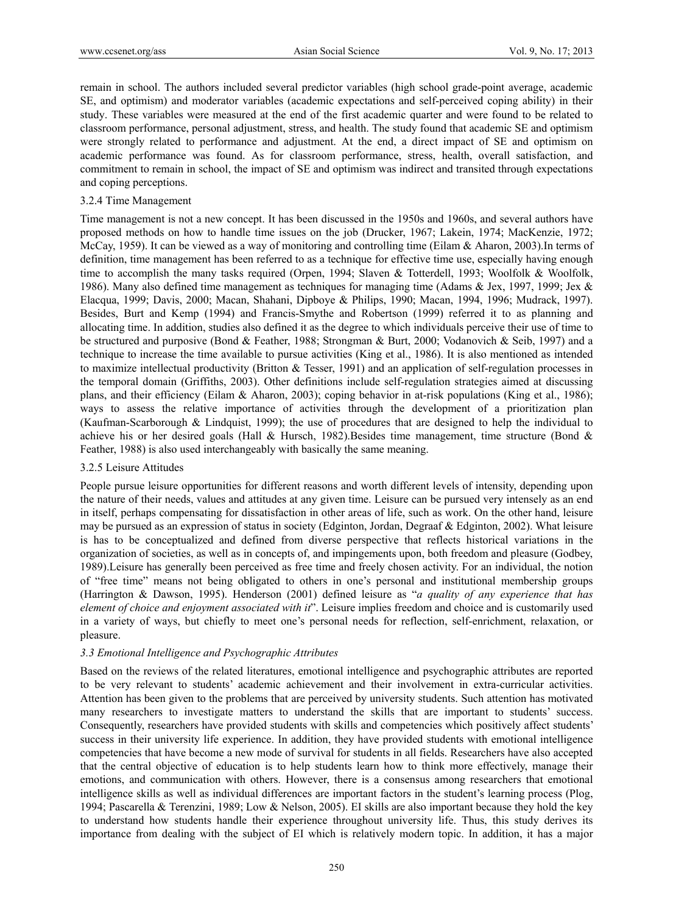remain in school. The authors included several predictor variables (high school grade-point average, academic SE, and optimism) and moderator variables (academic expectations and self-perceived coping ability) in their study. These variables were measured at the end of the first academic quarter and were found to be related to classroom performance, personal adjustment, stress, and health. The study found that academic SE and optimism were strongly related to performance and adjustment. At the end, a direct impact of SE and optimism on academic performance was found. As for classroom performance, stress, health, overall satisfaction, and commitment to remain in school, the impact of SE and optimism was indirect and transited through expectations and coping perceptions.

#### 3.2.4 Time Management

Time management is not a new concept. It has been discussed in the 1950s and 1960s, and several authors have proposed methods on how to handle time issues on the job (Drucker, 1967; Lakein, 1974; MacKenzie, 1972; McCay, 1959). It can be viewed as a way of monitoring and controlling time (Eilam & Aharon, 2003).In terms of definition, time management has been referred to as a technique for effective time use, especially having enough time to accomplish the many tasks required (Orpen, 1994; Slaven & Totterdell, 1993; Woolfolk & Woolfolk, 1986). Many also defined time management as techniques for managing time (Adams & Jex, 1997, 1999; Jex & Elacqua, 1999; Davis, 2000; Macan, Shahani, Dipboye & Philips, 1990; Macan, 1994, 1996; Mudrack, 1997). Besides, Burt and Kemp (1994) and Francis-Smythe and Robertson (1999) referred it to as planning and allocating time. In addition, studies also defined it as the degree to which individuals perceive their use of time to be structured and purposive (Bond & Feather, 1988; Strongman & Burt, 2000; Vodanovich & Seib, 1997) and a technique to increase the time available to pursue activities (King et al., 1986). It is also mentioned as intended to maximize intellectual productivity (Britton & Tesser, 1991) and an application of self-regulation processes in the temporal domain (Griffiths, 2003). Other definitions include self-regulation strategies aimed at discussing plans, and their efficiency (Eilam & Aharon, 2003); coping behavior in at-risk populations (King et al., 1986); ways to assess the relative importance of activities through the development of a prioritization plan (Kaufman-Scarborough & Lindquist, 1999); the use of procedures that are designed to help the individual to achieve his or her desired goals (Hall & Hursch, 1982).Besides time management, time structure (Bond & Feather, 1988) is also used interchangeably with basically the same meaning.

#### 3.2.5 Leisure Attitudes

People pursue leisure opportunities for different reasons and worth different levels of intensity, depending upon the nature of their needs, values and attitudes at any given time. Leisure can be pursued very intensely as an end in itself, perhaps compensating for dissatisfaction in other areas of life, such as work. On the other hand, leisure may be pursued as an expression of status in society (Edginton, Jordan, Degraaf & Edginton, 2002). What leisure is has to be conceptualized and defined from diverse perspective that reflects historical variations in the organization of societies, as well as in concepts of, and impingements upon, both freedom and pleasure (Godbey, 1989).Leisure has generally been perceived as free time and freely chosen activity. For an individual, the notion of "free time" means not being obligated to others in one's personal and institutional membership groups (Harrington & Dawson, 1995). Henderson (2001) defined leisure as "*a quality of any experience that has element of choice and enjoyment associated with it*". Leisure implies freedom and choice and is customarily used in a variety of ways, but chiefly to meet one's personal needs for reflection, self-enrichment, relaxation, or pleasure.

#### *3.3 Emotional Intelligence and Psychographic Attributes*

Based on the reviews of the related literatures, emotional intelligence and psychographic attributes are reported to be very relevant to students' academic achievement and their involvement in extra-curricular activities. Attention has been given to the problems that are perceived by university students. Such attention has motivated many researchers to investigate matters to understand the skills that are important to students' success. Consequently, researchers have provided students with skills and competencies which positively affect students' success in their university life experience. In addition, they have provided students with emotional intelligence competencies that have become a new mode of survival for students in all fields. Researchers have also accepted that the central objective of education is to help students learn how to think more effectively, manage their emotions, and communication with others. However, there is a consensus among researchers that emotional intelligence skills as well as individual differences are important factors in the student's learning process (Plog, 1994; Pascarella & Terenzini, 1989; Low & Nelson, 2005). EI skills are also important because they hold the key to understand how students handle their experience throughout university life. Thus, this study derives its importance from dealing with the subject of EI which is relatively modern topic. In addition, it has a major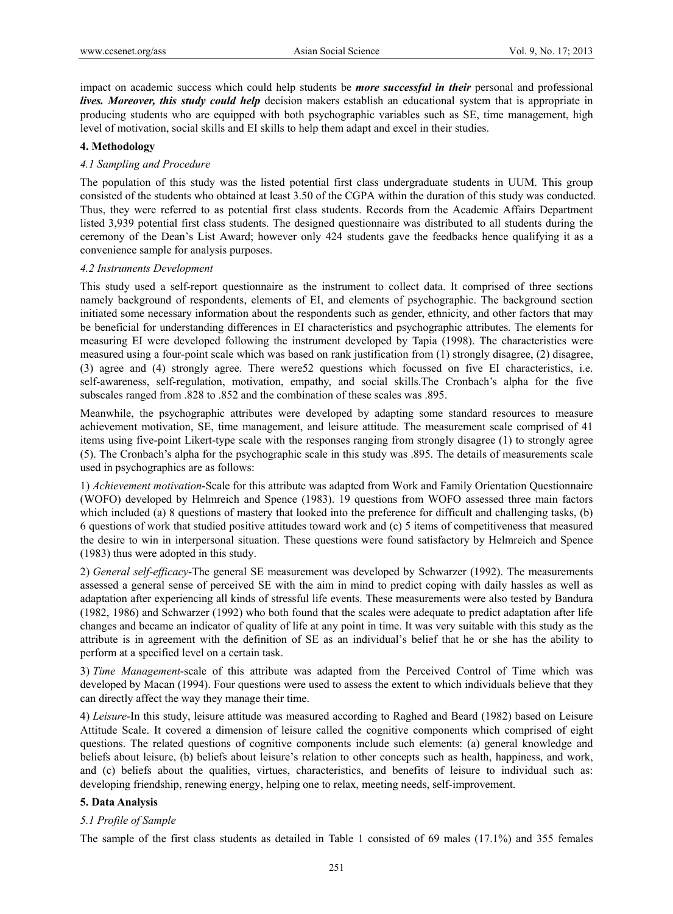impact on academic success which could help students be *more successful in their* personal and professional *lives. Moreover, this study could help* decision makers establish an educational system that is appropriate in producing students who are equipped with both psychographic variables such as SE, time management, high level of motivation, social skills and EI skills to help them adapt and excel in their studies.

## **4. Methodology**

## *4.1 Sampling and Procedure*

The population of this study was the listed potential first class undergraduate students in UUM. This group consisted of the students who obtained at least 3.50 of the CGPA within the duration of this study was conducted. Thus, they were referred to as potential first class students. Records from the Academic Affairs Department listed 3,939 potential first class students. The designed questionnaire was distributed to all students during the ceremony of the Dean's List Award; however only 424 students gave the feedbacks hence qualifying it as a convenience sample for analysis purposes.

# *4.2 Instruments Development*

This study used a self-report questionnaire as the instrument to collect data. It comprised of three sections namely background of respondents, elements of EI, and elements of psychographic. The background section initiated some necessary information about the respondents such as gender, ethnicity, and other factors that may be beneficial for understanding differences in EI characteristics and psychographic attributes. The elements for measuring EI were developed following the instrument developed by Tapia (1998). The characteristics were measured using a four-point scale which was based on rank justification from (1) strongly disagree, (2) disagree, (3) agree and (4) strongly agree. There were52 questions which focussed on five EI characteristics, i.e. self-awareness, self-regulation, motivation, empathy, and social skills.The Cronbach's alpha for the five subscales ranged from .828 to .852 and the combination of these scales was .895.

Meanwhile, the psychographic attributes were developed by adapting some standard resources to measure achievement motivation, SE, time management, and leisure attitude. The measurement scale comprised of 41 items using five-point Likert-type scale with the responses ranging from strongly disagree (1) to strongly agree (5). The Cronbach's alpha for the psychographic scale in this study was .895. The details of measurements scale used in psychographics are as follows:

1) *Achievement motivation*-Scale for this attribute was adapted from Work and Family Orientation Questionnaire (WOFO) developed by Helmreich and Spence (1983). 19 questions from WOFO assessed three main factors which included (a) 8 questions of mastery that looked into the preference for difficult and challenging tasks, (b) 6 questions of work that studied positive attitudes toward work and (c) 5 items of competitiveness that measured the desire to win in interpersonal situation. These questions were found satisfactory by Helmreich and Spence (1983) thus were adopted in this study.

2) *General self-efficacy*-The general SE measurement was developed by Schwarzer (1992). The measurements assessed a general sense of perceived SE with the aim in mind to predict coping with daily hassles as well as adaptation after experiencing all kinds of stressful life events. These measurements were also tested by Bandura (1982, 1986) and Schwarzer (1992) who both found that the scales were adequate to predict adaptation after life changes and became an indicator of quality of life at any point in time. It was very suitable with this study as the attribute is in agreement with the definition of SE as an individual's belief that he or she has the ability to perform at a specified level on a certain task.

3) *Time Management*-scale of this attribute was adapted from the Perceived Control of Time which was developed by Macan (1994). Four questions were used to assess the extent to which individuals believe that they can directly affect the way they manage their time.

4) *Leisure*-In this study, leisure attitude was measured according to Raghed and Beard (1982) based on Leisure Attitude Scale. It covered a dimension of leisure called the cognitive components which comprised of eight questions. The related questions of cognitive components include such elements: (a) general knowledge and beliefs about leisure, (b) beliefs about leisure's relation to other concepts such as health, happiness, and work, and (c) beliefs about the qualities, virtues, characteristics, and benefits of leisure to individual such as: developing friendship, renewing energy, helping one to relax, meeting needs, self-improvement.

# **5. Data Analysis**

## *5.1 Profile of Sample*

The sample of the first class students as detailed in Table 1 consisted of 69 males (17.1%) and 355 females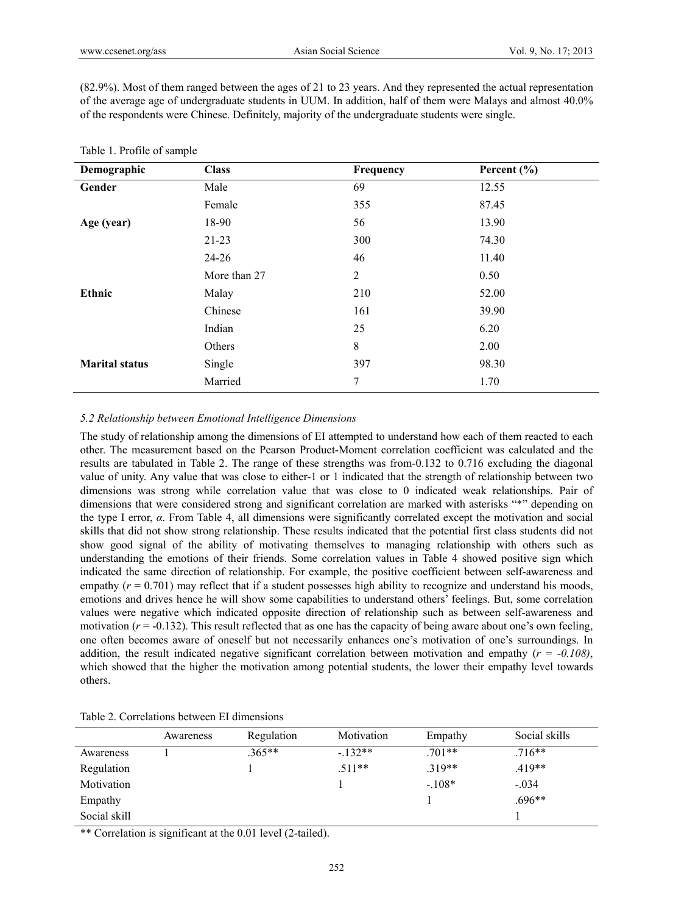(82.9%). Most of them ranged between the ages of 21 to 23 years. And they represented the actual representation of the average age of undergraduate students in UUM. In addition, half of them were Malays and almost 40.0% of the respondents were Chinese. Definitely, majority of the undergraduate students were single.

| Demographic           | <b>Class</b> | Frequency      | Percent $(\% )$ |
|-----------------------|--------------|----------------|-----------------|
| Gender                | Male         | 69             | 12.55           |
|                       | Female       | 355            | 87.45           |
| Age (year)            | 18-90        | 56             | 13.90           |
|                       | $21-23$      | 300            | 74.30           |
|                       | $24 - 26$    | 46             | 11.40           |
|                       | More than 27 | $\overline{2}$ | 0.50            |
| Ethnic                | Malay        | 210            | 52.00           |
|                       | Chinese      | 161            | 39.90           |
|                       | Indian       | 25             | 6.20            |
|                       | Others       | $8\,$          | 2.00            |
| <b>Marital status</b> | Single       | 397            | 98.30           |
|                       | Married      | 7              | 1.70            |

Table 1. Profile of sample

#### *5.2 Relationship between Emotional Intelligence Dimensions*

The study of relationship among the dimensions of EI attempted to understand how each of them reacted to each other. The measurement based on the Pearson Product-Moment correlation coefficient was calculated and the results are tabulated in Table 2. The range of these strengths was from-0.132 to 0.716 excluding the diagonal value of unity. Any value that was close to either-1 or 1 indicated that the strength of relationship between two dimensions was strong while correlation value that was close to 0 indicated weak relationships. Pair of dimensions that were considered strong and significant correlation are marked with asterisks "\*" depending on the type I error, *α*. From Table 4, all dimensions were significantly correlated except the motivation and social skills that did not show strong relationship. These results indicated that the potential first class students did not show good signal of the ability of motivating themselves to managing relationship with others such as understanding the emotions of their friends. Some correlation values in Table 4 showed positive sign which indicated the same direction of relationship. For example, the positive coefficient between self-awareness and empathy  $(r = 0.701)$  may reflect that if a student possesses high ability to recognize and understand his moods, emotions and drives hence he will show some capabilities to understand others' feelings. But, some correlation values were negative which indicated opposite direction of relationship such as between self-awareness and motivation  $(r = -0.132)$ . This result reflected that as one has the capacity of being aware about one's own feeling, one often becomes aware of oneself but not necessarily enhances one's motivation of one's surroundings. In addition, the result indicated negative significant correlation between motivation and empathy (*r* = -*0.108)*, which showed that the higher the motivation among potential students, the lower their empathy level towards others.

| Table 2. Correlations between EI dimensions |  |
|---------------------------------------------|--|
|---------------------------------------------|--|

|              | Awareness | Regulation | Motivation | Empathy  | Social skills |
|--------------|-----------|------------|------------|----------|---------------|
| Awareness    |           | $.365**$   | $-132**$   | $.701**$ | $.716**$      |
| Regulation   |           |            | $.511**$   | $.319**$ | $.419**$      |
| Motivation   |           |            |            | $-.108*$ | $-.034$       |
| Empathy      |           |            |            |          | $.696**$      |
| Social skill |           |            |            |          |               |

\*\* Correlation is significant at the 0.01 level (2-tailed).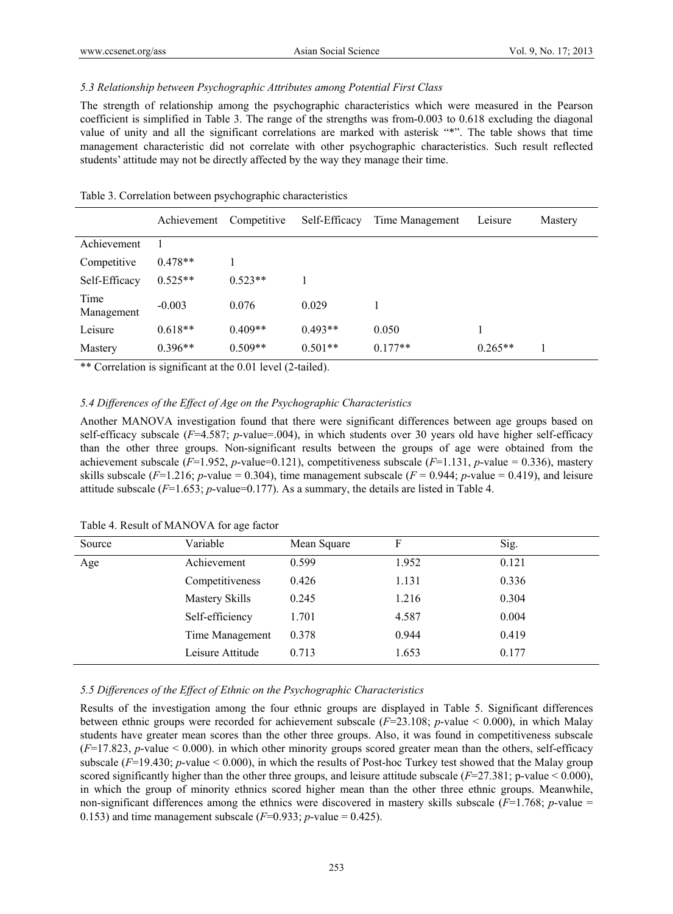## *5.3 Relationship between Psychographic Attributes among Potential First Class*

The strength of relationship among the psychographic characteristics which were measured in the Pearson coefficient is simplified in Table 3. The range of the strengths was from-0.003 to 0.618 excluding the diagonal value of unity and all the significant correlations are marked with asterisk "\*". The table shows that time management characteristic did not correlate with other psychographic characteristics. Such result reflected students' attitude may not be directly affected by the way they manage their time.

|                    | Achievement | Competitive | Self-Efficacy | Time Management | Leisure   | Mastery |
|--------------------|-------------|-------------|---------------|-----------------|-----------|---------|
| Achievement        |             |             |               |                 |           |         |
| Competitive        | $0.478**$   |             |               |                 |           |         |
| Self-Efficacy      | $0.525**$   | $0.523**$   |               |                 |           |         |
| Time<br>Management | $-0.003$    | 0.076       | 0.029         |                 |           |         |
| Leisure            | $0.618**$   | $0.409**$   | $0.493**$     | 0.050           |           |         |
| Mastery            | $0.396**$   | $0.509**$   | $0.501**$     | $0.177**$       | $0.265**$ |         |

Table 3. Correlation between psychographic characteristics

\*\* Correlation is significant at the 0.01 level (2-tailed).

# *5.4 Differences of the Effect of Age on the Psychographic Characteristics*

Another MANOVA investigation found that there were significant differences between age groups based on self-efficacy subscale (*F*=4.587; *p*-value=.004), in which students over 30 years old have higher self-efficacy than the other three groups. Non-significant results between the groups of age were obtained from the achievement subscale  $(F=1.952, p$ -value=0.121), competitiveness subscale  $(F=1.131, p$ -value = 0.336), mastery skills subscale ( $F=1.216$ ; *p*-value = 0.304), time management subscale ( $F = 0.944$ ; *p*-value = 0.419), and leisure attitude subscale (*F*=1.653; *p*-value=0.177). As a summary, the details are listed in Table 4.

Table 4. Result of MANOVA for age factor

| Source | Variable         | Mean Square | F     | Sig.  |
|--------|------------------|-------------|-------|-------|
| Age    | Achievement      | 0.599       | 1.952 | 0.121 |
|        | Competitiveness  | 0.426       | 1.131 | 0.336 |
|        | Mastery Skills   | 0.245       | 1.216 | 0.304 |
|        | Self-efficiency  | 1.701       | 4.587 | 0.004 |
|        | Time Management  | 0.378       | 0.944 | 0.419 |
|        | Leisure Attitude | 0.713       | 1.653 | 0.177 |

## *5.5 Differences of the Effect of Ethnic on the Psychographic Characteristics*

Results of the investigation among the four ethnic groups are displayed in Table 5. Significant differences between ethnic groups were recorded for achievement subscale (*F*=23.108; *p*-value < 0.000), in which Malay students have greater mean scores than the other three groups. Also, it was found in competitiveness subscale  $(F=17.823, p-value < 0.000)$ . in which other minority groups scored greater mean than the others, self-efficacy subscale  $(F=19.430; p-value < 0.000)$ , in which the results of Post-hoc Turkey test showed that the Malay group scored significantly higher than the other three groups, and leisure attitude subscale  $(F=27.381; p-value < 0.000)$ , in which the group of minority ethnics scored higher mean than the other three ethnic groups. Meanwhile, non-significant differences among the ethnics were discovered in mastery skills subscale  $(F=1.768; p$ -value = 0.153) and time management subscale  $(F=0.933; p-value = 0.425)$ .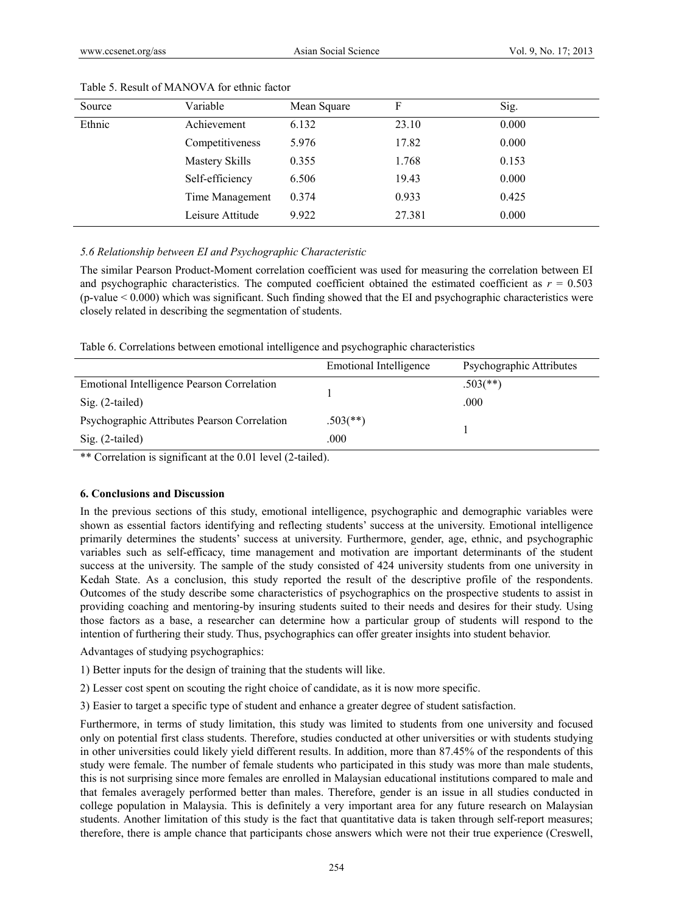| Source | Variable         | Mean Square | F      | Sig.  |
|--------|------------------|-------------|--------|-------|
| Ethnic | Achievement      | 6.132       | 23.10  | 0.000 |
|        | Competitiveness  | 5.976       | 17.82  | 0.000 |
|        | Mastery Skills   | 0.355       | 1.768  | 0.153 |
|        | Self-efficiency  | 6.506       | 19.43  | 0.000 |
|        | Time Management  | 0.374       | 0.933  | 0.425 |
|        | Leisure Attitude | 9.922       | 27.381 | 0.000 |

#### Table 5. Result of MANOVA for ethnic factor

# *5.6 Relationship between EI and Psychographic Characteristic*

The similar Pearson Product-Moment correlation coefficient was used for measuring the correlation between EI and psychographic characteristics. The computed coefficient obtained the estimated coefficient as  $r = 0.503$  $(p-value < 0.000)$  which was significant. Such finding showed that the EI and psychographic characteristics were closely related in describing the segmentation of students.

## Table 6. Correlations between emotional intelligence and psychographic characteristics

|                                              | Emotional Intelligence   | Psychographic Attributes |
|----------------------------------------------|--------------------------|--------------------------|
| Emotional Intelligence Pearson Correlation   |                          | $.503$ <sup>(**)</sup> ) |
| $Sig. (2-tailed)$                            |                          | .000                     |
| Psychographic Attributes Pearson Correlation | $.503$ <sup>(**)</sup> ) |                          |
| $Sig. (2-tailed)$                            | .000                     |                          |

\*\* Correlation is significant at the 0.01 level (2-tailed).

## **6. Conclusions and Discussion**

In the previous sections of this study, emotional intelligence, psychographic and demographic variables were shown as essential factors identifying and reflecting students' success at the university. Emotional intelligence primarily determines the students' success at university. Furthermore, gender, age, ethnic, and psychographic variables such as self-efficacy, time management and motivation are important determinants of the student success at the university. The sample of the study consisted of 424 university students from one university in Kedah State. As a conclusion, this study reported the result of the descriptive profile of the respondents. Outcomes of the study describe some characteristics of psychographics on the prospective students to assist in providing coaching and mentoring-by insuring students suited to their needs and desires for their study. Using those factors as a base, a researcher can determine how a particular group of students will respond to the intention of furthering their study. Thus, psychographics can offer greater insights into student behavior.

Advantages of studying psychographics:

1) Better inputs for the design of training that the students will like.

2) Lesser cost spent on scouting the right choice of candidate, as it is now more specific.

3) Easier to target a specific type of student and enhance a greater degree of student satisfaction.

Furthermore, in terms of study limitation, this study was limited to students from one university and focused only on potential first class students. Therefore, studies conducted at other universities or with students studying in other universities could likely yield different results. In addition, more than 87.45% of the respondents of this study were female. The number of female students who participated in this study was more than male students, this is not surprising since more females are enrolled in Malaysian educational institutions compared to male and that females averagely performed better than males. Therefore, gender is an issue in all studies conducted in college population in Malaysia. This is definitely a very important area for any future research on Malaysian students. Another limitation of this study is the fact that quantitative data is taken through self-report measures; therefore, there is ample chance that participants chose answers which were not their true experience (Creswell,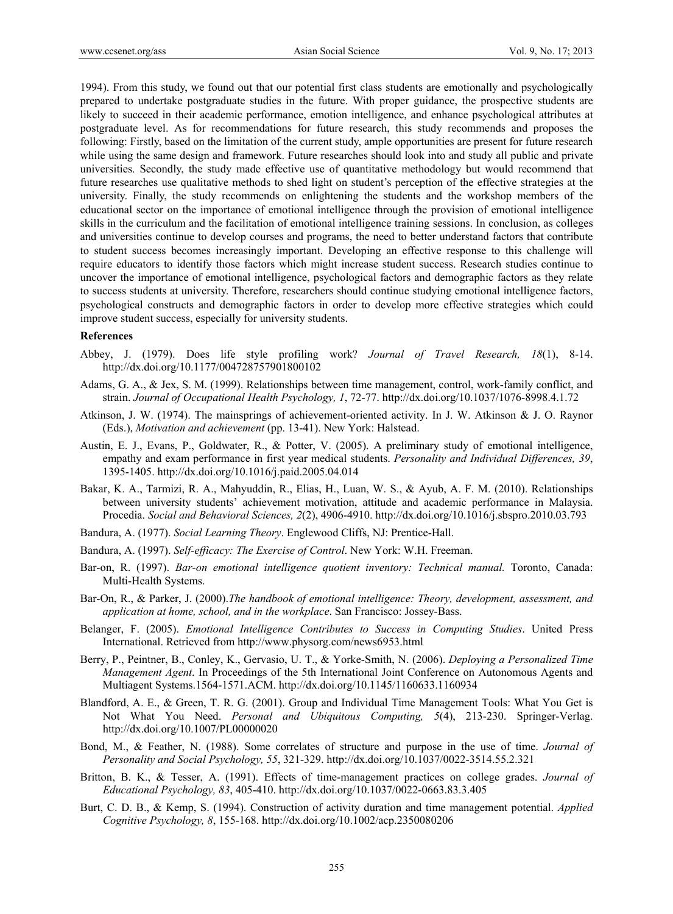1994). From this study, we found out that our potential first class students are emotionally and psychologically prepared to undertake postgraduate studies in the future. With proper guidance, the prospective students are likely to succeed in their academic performance, emotion intelligence, and enhance psychological attributes at postgraduate level. As for recommendations for future research, this study recommends and proposes the following: Firstly, based on the limitation of the current study, ample opportunities are present for future research while using the same design and framework. Future researches should look into and study all public and private universities. Secondly, the study made effective use of quantitative methodology but would recommend that future researches use qualitative methods to shed light on student's perception of the effective strategies at the university. Finally, the study recommends on enlightening the students and the workshop members of the educational sector on the importance of emotional intelligence through the provision of emotional intelligence skills in the curriculum and the facilitation of emotional intelligence training sessions. In conclusion, as colleges and universities continue to develop courses and programs, the need to better understand factors that contribute to student success becomes increasingly important. Developing an effective response to this challenge will require educators to identify those factors which might increase student success. Research studies continue to uncover the importance of emotional intelligence, psychological factors and demographic factors as they relate to success students at university. Therefore, researchers should continue studying emotional intelligence factors, psychological constructs and demographic factors in order to develop more effective strategies which could improve student success, especially for university students.

#### **References**

- Abbey, J. (1979). Does life style profiling work? *Journal of Travel Research, 18*(1), 8-14. http://dx.doi.org/10.1177/004728757901800102
- Adams, G. A., & Jex, S. M. (1999). Relationships between time management, control, work-family conflict, and strain. *Journal of Occupational Health Psychology, 1*, 72-77. http://dx.doi.org/10.1037/1076-8998.4.1.72
- Atkinson, J. W. (1974). The mainsprings of achievement-oriented activity. In J. W. Atkinson & J. O. Raynor (Eds.), *Motivation and achievement* (pp. 13-41). New York: Halstead.
- Austin, E. J., Evans, P., Goldwater, R., & Potter, V. (2005). A preliminary study of emotional intelligence, empathy and exam performance in first year medical students. *Personality and Individual Differences, 39*, 1395-1405. http://dx.doi.org/10.1016/j.paid.2005.04.014
- Bakar, K. A., Tarmizi, R. A., Mahyuddin, R., Elias, H., Luan, W. S., & Ayub, A. F. M. (2010). Relationships between university students' achievement motivation, attitude and academic performance in Malaysia. Procedia. *Social and Behavioral Sciences, 2*(2), 4906-4910. http://dx.doi.org/10.1016/j.sbspro.2010.03.793
- Bandura, A. (1977). *Social Learning Theory*. Englewood Cliffs, NJ: Prentice-Hall.
- Bandura, A. (1997). *Self-efficacy: The Exercise of Control*. New York: W.H. Freeman.
- Bar-on, R. (1997). *Bar-on emotional intelligence quotient inventory: Technical manual.* Toronto, Canada: Multi-Health Systems.
- Bar-On, R., & Parker, J. (2000).*The handbook of emotional intelligence: Theory, development, assessment, and application at home, school, and in the workplace*. San Francisco: Jossey-Bass.
- Belanger, F. (2005). *Emotional Intelligence Contributes to Success in Computing Studies*. United Press International. Retrieved from http://www.physorg.com/news6953.html
- Berry, P., Peintner, B., Conley, K., Gervasio, U. T., & Yorke-Smith, N. (2006). *Deploying a Personalized Time Management Agent*. In Proceedings of the 5th International Joint Conference on Autonomous Agents and Multiagent Systems.1564-1571.ACM. http://dx.doi.org/10.1145/1160633.1160934
- Blandford, A. E., & Green, T. R. G. (2001). Group and Individual Time Management Tools: What You Get is Not What You Need. *Personal and Ubiquitous Computing, 5*(4), 213-230. Springer-Verlag. http://dx.doi.org/10.1007/PL00000020
- Bond, M., & Feather, N. (1988). Some correlates of structure and purpose in the use of time. *Journal of Personality and Social Psychology, 55*, 321-329. http://dx.doi.org/10.1037/0022-3514.55.2.321
- Britton, B. K., & Tesser, A. (1991). Effects of time-management practices on college grades. *Journal of Educational Psychology, 83*, 405-410. http://dx.doi.org/10.1037/0022-0663.83.3.405
- Burt, C. D. B., & Kemp, S. (1994). Construction of activity duration and time management potential. *Applied Cognitive Psychology, 8*, 155-168. http://dx.doi.org/10.1002/acp.2350080206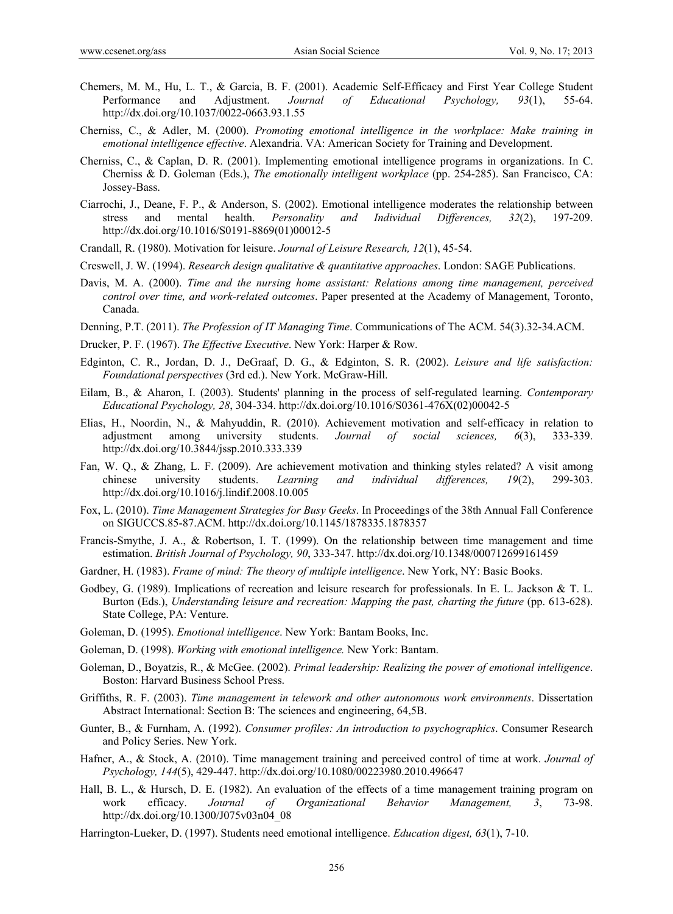- Chemers, M. M., Hu, L. T., & Garcia, B. F. (2001). Academic Self-Efficacy and First Year College Student Performance and Adjustment. *Journal of Educational Psychology, 93*(1), 55-64. http://dx.doi.org/10.1037/0022-0663.93.1.55
- Cherniss, C., & Adler, M. (2000). *Promoting emotional intelligence in the workplace: Make training in emotional intelligence effective*. Alexandria. VA: American Society for Training and Development.
- Cherniss, C., & Caplan, D. R. (2001). Implementing emotional intelligence programs in organizations. In C. Cherniss & D. Goleman (Eds.), *The emotionally intelligent workplace* (pp. 254-285). San Francisco, CA: Jossey-Bass.
- Ciarrochi, J., Deane, F. P., & Anderson, S. (2002). Emotional intelligence moderates the relationship between stress and mental health. *Personality and Individual Differences, 32*(2), 197-209. http://dx.doi.org/10.1016/S0191-8869(01)00012-5
- Crandall, R. (1980). Motivation for leisure. *Journal of Leisure Research, 12*(1), 45-54.
- Creswell, J. W. (1994). *Research design qualitative & quantitative approaches*. London: SAGE Publications.
- Davis, M. A. (2000). *Time and the nursing home assistant: Relations among time management, perceived control over time, and work-related outcomes*. Paper presented at the Academy of Management, Toronto, Canada.
- Denning, P.T. (2011). *The Profession of IT Managing Time*. Communications of The ACM. 54(3).32-34.ACM.
- Drucker, P. F. (1967). *The Effective Executive*. New York: Harper & Row.
- Edginton, C. R., Jordan, D. J., DeGraaf, D. G., & Edginton, S. R. (2002). *Leisure and life satisfaction: Foundational perspectives* (3rd ed.). New York. McGraw-Hill.
- Eilam, B., & Aharon, I. (2003). Students' planning in the process of self-regulated learning. *Contemporary Educational Psychology, 28*, 304-334. http://dx.doi.org/10.1016/S0361-476X(02)00042-5
- Elias, H., Noordin, N., & Mahyuddin, R. (2010). Achievement motivation and self-efficacy in relation to adjustment among university students. *Journal of social sciences, 6*(3), 333-339. http://dx.doi.org/10.3844/jssp.2010.333.339
- Fan, W. Q., & Zhang, L. F. (2009). Are achievement motivation and thinking styles related? A visit among chinese university students. *Learning and individual differences, 19*(2), 299-303. http://dx.doi.org/10.1016/j.lindif.2008.10.005
- Fox, L. (2010). *Time Management Strategies for Busy Geeks*. In Proceedings of the 38th Annual Fall Conference on SIGUCCS.85-87.ACM. http://dx.doi.org/10.1145/1878335.1878357
- Francis-Smythe, J. A., & Robertson, I. T. (1999). On the relationship between time management and time estimation. *British Journal of Psychology, 90*, 333-347. http://dx.doi.org/10.1348/000712699161459
- Gardner, H. (1983). *Frame of mind: The theory of multiple intelligence*. New York, NY: Basic Books.
- Godbey, G. (1989). Implications of recreation and leisure research for professionals. In E. L. Jackson & T. L. Burton (Eds.), *Understanding leisure and recreation: Mapping the past, charting the future* (pp. 613-628). State College, PA: Venture.
- Goleman, D. (1995). *Emotional intelligence*. New York: Bantam Books, Inc.
- Goleman, D. (1998). *Working with emotional intelligence.* New York: Bantam.
- Goleman, D., Boyatzis, R., & McGee. (2002). *Primal leadership: Realizing the power of emotional intelligence*. Boston: Harvard Business School Press.
- Griffiths, R. F. (2003). *Time management in telework and other autonomous work environments*. Dissertation Abstract International: Section B: The sciences and engineering, 64,5B.
- Gunter, B., & Furnham, A. (1992). *Consumer profiles: An introduction to psychographics*. Consumer Research and Policy Series. New York.
- Hafner, A., & Stock, A. (2010). Time management training and perceived control of time at work. *Journal of Psychology, 144*(5), 429-447. http://dx.doi.org/10.1080/00223980.2010.496647
- Hall, B. L., & Hursch, D. E. (1982). An evaluation of the effects of a time management training program on work efficacy. *Journal of Organizational Behavior Management, 3*, 73-98. http://dx.doi.org/10.1300/J075v03n04\_08
- Harrington-Lueker, D. (1997). Students need emotional intelligence. *Education digest, 63*(1), 7-10.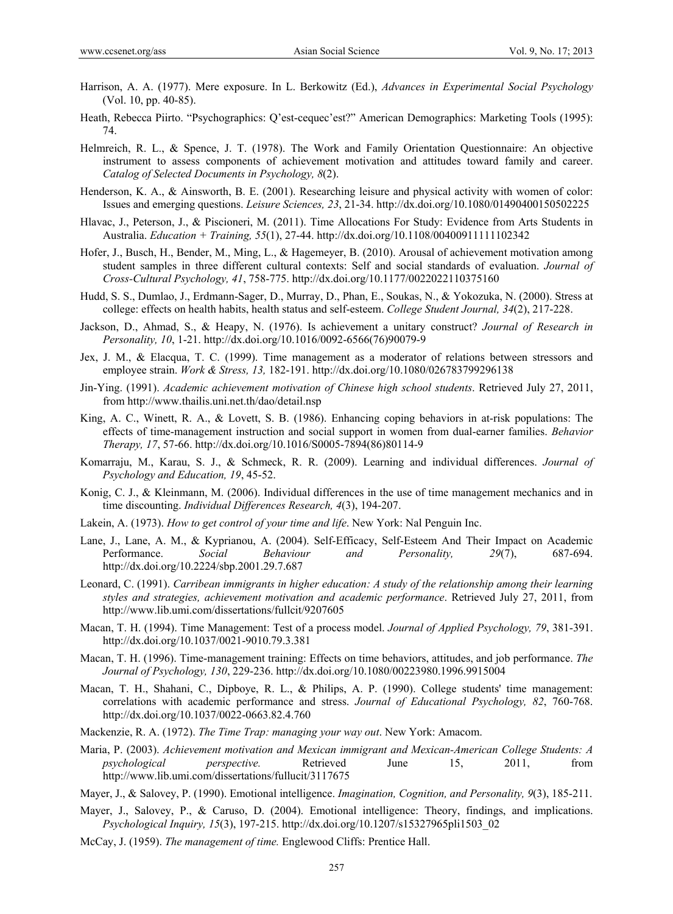- Harrison, A. A. (1977). Mere exposure. In L. Berkowitz (Ed.), *Advances in Experimental Social Psychology* (Vol. 10, pp. 40-85).
- Heath, Rebecca Piirto. "Psychographics: Q'est-cequec'est?" American Demographics: Marketing Tools (1995): 74.
- Helmreich, R. L., & Spence, J. T. (1978). The Work and Family Orientation Questionnaire: An objective instrument to assess components of achievement motivation and attitudes toward family and career. *Catalog of Selected Documents in Psychology, 8*(2).
- Henderson, K. A., & Ainsworth, B. E. (2001). Researching leisure and physical activity with women of color: Issues and emerging questions. *Leisure Sciences, 23*, 21-34. http://dx.doi.org/10.1080/01490400150502225
- Hlavac, J., Peterson, J., & Piscioneri, M. (2011). Time Allocations For Study: Evidence from Arts Students in Australia. *Education + Training, 55*(1), 27-44. http://dx.doi.org/10.1108/00400911111102342
- Hofer, J., Busch, H., Bender, M., Ming, L., & Hagemeyer, B. (2010). Arousal of achievement motivation among student samples in three different cultural contexts: Self and social standards of evaluation. *Journal of Cross-Cultural Psychology, 41*, 758-775. http://dx.doi.org/10.1177/0022022110375160
- Hudd, S. S., Dumlao, J., Erdmann-Sager, D., Murray, D., Phan, E., Soukas, N., & Yokozuka, N. (2000). Stress at college: effects on health habits, health status and self-esteem. *College Student Journal, 34*(2), 217-228.
- Jackson, D., Ahmad, S., & Heapy, N. (1976). Is achievement a unitary construct? *Journal of Research in Personality, 10*, 1-21. http://dx.doi.org/10.1016/0092-6566(76)90079-9
- Jex, J. M., & Elacqua, T. C. (1999). Time management as a moderator of relations between stressors and employee strain. *Work & Stress, 13,* 182-191. http://dx.doi.org/10.1080/026783799296138
- Jin-Ying. (1991). *Academic achievement motivation of Chinese high school students*. Retrieved July 27, 2011, from http://www.thailis.uni.net.th/dao/detail.nsp
- King, A. C., Winett, R. A., & Lovett, S. B. (1986). Enhancing coping behaviors in at-risk populations: The effects of time-management instruction and social support in women from dual-earner families. *Behavior Therapy, 17*, 57-66. http://dx.doi.org/10.1016/S0005-7894(86)80114-9
- Komarraju, M., Karau, S. J., & Schmeck, R. R. (2009). Learning and individual differences. *Journal of Psychology and Education, 19*, 45-52.
- Konig, C. J., & Kleinmann, M. (2006). Individual differences in the use of time management mechanics and in time discounting. *Individual Differences Research, 4*(3), 194-207.
- Lakein, A. (1973). *How to get control of your time and life*. New York: Nal Penguin Inc.
- Lane, J., Lane, A. M., & Kyprianou, A. (2004). Self-Efficacy, Self-Esteem And Their Impact on Academic Performance. *Social Behaviour and Personality, 29*(7), 687-694. http://dx.doi.org/10.2224/sbp.2001.29.7.687
- Leonard, C. (1991). *Carribean immigrants in higher education: A study of the relationship among their learning styles and strategies, achievement motivation and academic performance*. Retrieved July 27, 2011, from http://www.lib.umi.com/dissertations/fullcit/9207605
- Macan, T. H. (1994). Time Management: Test of a process model. *Journal of Applied Psychology, 79*, 381-391. http://dx.doi.org/10.1037/0021-9010.79.3.381
- Macan, T. H. (1996). Time-management training: Effects on time behaviors, attitudes, and job performance. *The Journal of Psychology, 130*, 229-236. http://dx.doi.org/10.1080/00223980.1996.9915004
- Macan, T. H., Shahani, C., Dipboye, R. L., & Philips, A. P. (1990). College students' time management: correlations with academic performance and stress. *Journal of Educational Psychology, 82*, 760-768. http://dx.doi.org/10.1037/0022-0663.82.4.760
- Mackenzie, R. A. (1972). *The Time Trap: managing your way out*. New York: Amacom.
- Maria, P. (2003). *Achievement motivation and Mexican immigrant and Mexican-American College Students: A psychological perspective.* Retrieved June 15, 2011, from http://www.lib.umi.com/dissertations/fullucit/3117675
- Mayer, J., & Salovey, P. (1990). Emotional intelligence. *Imagination, Cognition, and Personality, 9*(3), 185-211.
- Mayer, J., Salovey, P., & Caruso, D. (2004). Emotional intelligence: Theory, findings, and implications. *Psychological Inquiry, 15*(3), 197-215. http://dx.doi.org/10.1207/s15327965pli1503\_02
- McCay, J. (1959). *The management of time.* Englewood Cliffs: Prentice Hall.